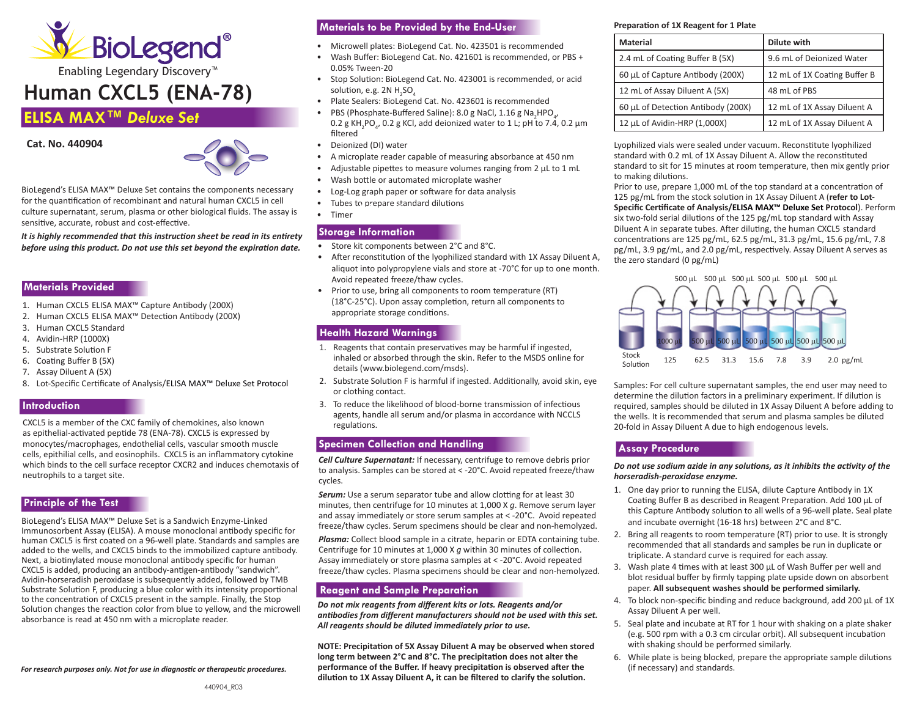

# **Human CXCL5 (ENA-78)**

# **ELISA MAX™** *Deluxe Set*

**Cat. No. 440904** 



BioLegend's ELISA MAX™ Deluxe Set contains the components necessary for the quantification of recombinant and natural human CXCL5 in cell culture supernatant, serum, plasma or other biological fluids. The assay is sensitive, accurate, robust and cost-effective.

*It is highly recommended that this instruction sheet be read in its entirety before using this product. Do not use this set beyond the expiration date.*

#### **Materials Provided**

- 1. Human CXCL5 ELISA MAX™ Capture Antibody (200X)
- 2. Human CXCL5 ELISA MAX™ Detection Antibody (200X)
- 3. Human CXCL5 Standard
- 4. Avidin-HRP (1000X)
- 5. Substrate Solution F
- 6. Coating Buffer B (5X)
- 7. Assay Diluent A (5X)
- 8. Lot-Specific Certificate of Analysis/ELISA MAX™ Deluxe Set Protocol

## **Introduction**

CXCL5 is a member of the CXC family of chemokines, also known as epithelial-activated peptide 78 (ENA-78). CXCL5 is expressed by monocytes/macrophages, endothelial cells, vascular smooth muscle cells, epithilial cells, and eosinophils. CXCL5 is an inflammatory cytokine which binds to the cell surface receptor CXCR2 and induces chemotaxis of neutrophils to a target site.

#### **Principle of the Test**

BioLegend's ELISA MAX™ Deluxe Set is a Sandwich Enzyme-Linked Immunosorbent Assay (ELISA). A mouse monoclonal antibody specific for human CXCL5 is first coated on a 96-well plate. Standards and samples are added to the wells, and CXCL5 binds to the immobilized capture antibody. Next, a biotinylated mouse monoclonal antibody specific for human CXCL5 is added, producing an antibody-antigen-antibody "sandwich". Avidin-horseradish peroxidase is subsequently added, followed by TMB Substrate Solution F, producing a blue color with its intensity proportional to the concentration of CXCL5 present in the sample. Finally, the Stop Solution changes the reaction color from blue to yellow, and the microwell absorbance is read at 450 nm with a microplate reader.

*For research purposes only. Not for use in diagnostic or therapeutic procedures.*

# **Materials to be Provided by the End-User**

- Microwell plates: BioLegend Cat. No. 423501 is recommended
- Wash Buffer: BioLegend Cat. No. 421601 is recommended, or PBS + 0.05% Tween-20
- Stop Solution: BioLegend Cat. No. 423001 is recommended, or acid solution, e.g. 2N  $H_2$ SO $_4$
- Plate Sealers: BioLegend Cat. No. 423601 is recommended
- PBS (Phosphate-Buffered Saline): 8.0 g NaCl, 1.16 g Na<sub>2</sub>HPO<sub>4</sub>,  $0.2$  g KH<sub>2</sub>PO<sub>4</sub>, 0.2 g KCl, add deionized water to 1 L; pH to 7.4, 0.2 μm filtered
- Deionized (DI) water
- A microplate reader capable of measuring absorbance at 450 nm
- Adjustable pipettes to measure volumes ranging from 2 μL to 1 mL
- Wash bottle or automated microplate washer
- Log-Log graph paper or software for data analysis
- Tubes to prepare standard dilutions **Storage Information**
- Timer

# **Storage Information**

- Store kit components between 2°C and 8°C.
- After reconstitution of the lyophilized standard with 1X Assay Diluent A, aliquot into polypropylene vials and store at -70°C for up to one month. Avoid repeated freeze/thaw cycles.
- (18°C-25°C). Upon assay completion, return all components to • Prior to use, bring all components to room temperature (RT) appropriate storage conditions.

# **Health Hazard Warnings**

- 1. Reagents that contain preservatives may be harmful if ingested, inhaled or absorbed through the skin. Refer to the MSDS online for details (www.biolegend.com/msds).
- 2. Substrate Solution F is harmful if ingested. Additionally, avoid skin, eye or clothing contact.
- 3. To reduce the likelihood of blood-borne transmission of infectious agents, handle all serum and/or plasma in accordance with NCCLS regulations.

# **Specimen Collection and Handling**

*Cell Culture Supernatant:* If necessary, centrifuge to remove debris prior to analysis. Samples can be stored at < -20°C. Avoid repeated freeze/thaw cycles.

**Serum:** Use a serum separator tube and allow clotting for at least 30 minutes, then centrifuge for 10 minutes at 1,000 X *g*. Remove serum layer and assay immediately or store serum samples at < -20°C. Avoid repeated freeze/thaw cycles. Serum specimens should be clear and non-hemolyzed.

*Plasma:* Collect blood sample in a citrate, heparin or EDTA containing tube. Centrifuge for 10 minutes at 1,000 X *g* within 30 minutes of collection. Assay immediately or store plasma samples at < -20°C. Avoid repeated freeze/thaw cycles. Plasma specimens should be clear and non-hemolyzed.

# **Reagent and Sample Preparation**

*Do not mix reagents from different kits or lots. Reagents and/or antibodies from different manufacturers should not be used with this set. All reagents should be diluted immediately prior to use.*

**NOTE: Precipitation of 5X Assay Diluent A may be observed when stored long term between 2°C and 8°C. The precipitation does not alter the performance of the Buffer. If heavy precipitation is observed after the dilution to 1X Assay Diluent A, it can be filtered to clarify the solution.**

#### **Preparation of 1X Reagent for 1 Plate**

| Material                           | Dilute with                  |
|------------------------------------|------------------------------|
| 2.4 mL of Coating Buffer B (5X)    | 9.6 mL of Deionized Water    |
| 60 µL of Capture Antibody (200X)   | 12 mL of 1X Coating Buffer B |
| 12 mL of Assay Diluent A (5X)      | 48 mL of PBS                 |
| 60 µL of Detection Antibody (200X) | 12 mL of 1X Assay Diluent A  |
| 12 µL of Avidin-HRP (1,000X)       | 12 mL of 1X Assay Diluent A  |

Lyophilized vials were sealed under vacuum. Reconstitute lyophilized standard with 0.2 mL of 1X Assay Diluent A. Allow the reconstituted standard to sit for 15 minutes at room temperature, then mix gently prior to making dilutions.

Prior to use, prepare 1,000 mL of the top standard at a concentration of 125 pg/mL from the stock solution in 1X Assay Diluent A (**refer to Lot-Specific Certificate of Analysis/ELISA MAX™ Deluxe Set Protocol**). Perform six two-fold serial dilutions of the 125 pg/mL top standard with Assay Diluent A in separate tubes. After diluting, the human CXCL5 standard concentrations are 125 pg/mL, 62.5 pg/mL, 31.3 pg/mL, 15.6 pg/mL, 7.8 pg/mL, 3.9 pg/mL, and 2.0 pg/mL, respectively. Assay Diluent A serves as the zero standard (0 pg/mL)



Samples: For cell culture supernatant samples, the end user may need to determine the dilution factors in a preliminary experiment. If dilution is required, samples should be diluted in 1X Assay Diluent A before adding to the wells. It is recommended that serum and plasma samples be diluted 20-fold in Assay Diluent A due to high endogenous levels.

# **Assay Procedure**

*Do not use sodium azide in any solutions, as it inhibits the activity of the horseradish-peroxidase enzyme.* 

- 1. One day prior to running the ELISA, dilute Capture Antibody in 1X Coating Buffer B as described in Reagent Preparation. Add 100 μL of this Capture Antibody solution to all wells of a 96-well plate. Seal plate and incubate overnight (16-18 hrs) between 2°C and 8°C.
- 2. Bring all reagents to room temperature (RT) prior to use. It is strongly recommended that all standards and samples be run in duplicate or triplicate. A standard curve is required for each assay.
- 3. Wash plate 4 times with at least 300 μL of Wash Buffer per well and blot residual buffer by firmly tapping plate upside down on absorbent paper. **All subsequent washes should be performed similarly.**
- 4. To block non-specific binding and reduce background, add 200 μL of 1X Assay Diluent A per well.
- 5. Seal plate and incubate at RT for 1 hour with shaking on a plate shaker (e.g. 500 rpm with a 0.3 cm circular orbit). All subsequent incubation with shaking should be performed similarly.
- 6. While plate is being blocked, prepare the appropriate sample dilutions (if necessary) and standards.